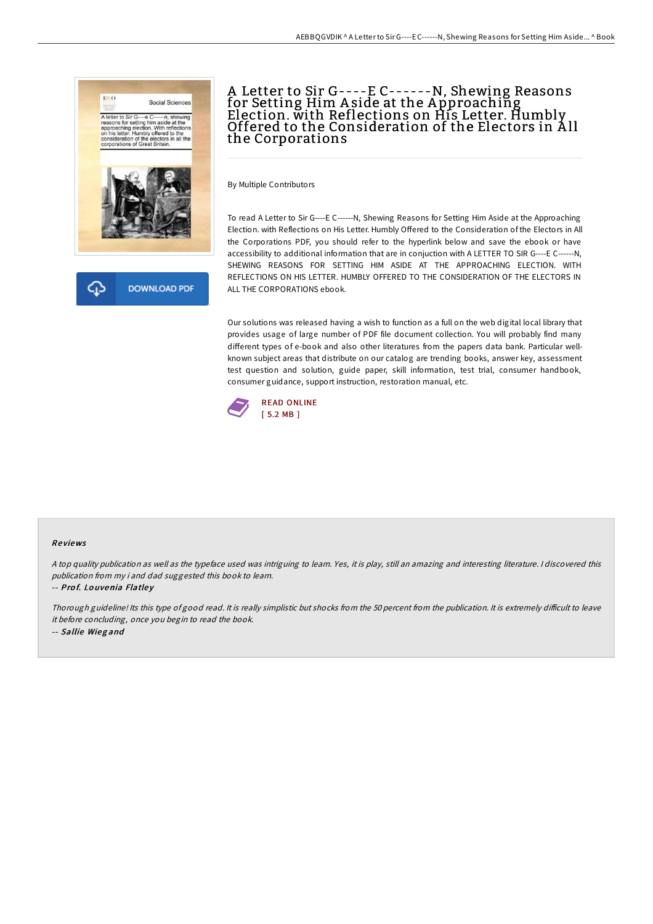

# A Letter to Sir G----E C------N, Shewing Reasons for Setting Him Aside at the Approaching Election. with Reflections on His Letter. Humbly<br>Offered to the Consideration of the Electors in All the Corporations

By Multiple Contributors

To read A Letter to Sir G----E C------N, Shewing Reasons for Setting Him Aside at the Approaching Election. with Reflections on His Letter. Humbly Offered to the Consideration of the Electors in All the Corporations PDF, you should refer to the hyperlink below and save the ebook or have accessibility to additional information that are in conjuction with A LETTER TO SIR G----E C------N, SHEWING REASONS FOR SETTING HIM ASIDE AT THE APPROACHING ELECTION. WITH REFLECTIONS ON HIS LETTER. HUMBLY OFFERED TO THE CONSIDERATION OF THE ELECTORS IN ALL THE CORPORATIONS ebook.

Our solutions was released having a wish to function as a full on the web digital local library that provides usage of large number of PDF file document collection. You will probably find many different types of e-book and also other literatures from the papers data bank. Particular wellknown subject areas that distribute on our catalog are trending books, answer key, assessment test question and solution, guide paper, skill information, test trial, consumer handbook, consumer guidance, support instruction, restoration manual, etc.



#### Re views

<sup>A</sup> top quality publication as well as the typeface used was intriguing to learn. Yes, it is play, still an amazing and interesting literature. <sup>I</sup> discovered this publication from my i and dad suggested this book to learn.

-- Prof. Louvenia Flatley

Thorough guideline! Its this type of good read. It is really simplistic but shocks from the 50 percent from the publication. It is extremely difficult to leave it before concluding, once you begin to read the book. -- Sallie Wieg and